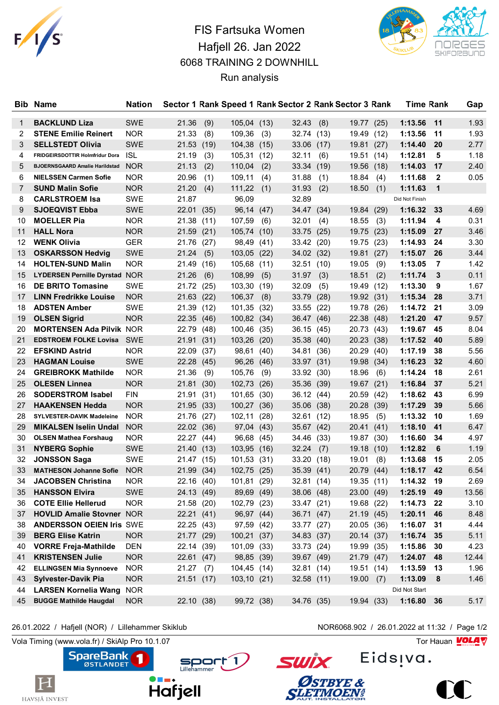

## FIS Fartsuka Women Hafjell 26. Jan 2022 6068 TRAINING 2 DOWNHILL Run analysis



| <b>Bib</b> | <b>Name</b>                           | <b>Nation</b> |            |      |                  |      |            |      | Sector 1 Rank Speed 1 Rank Sector 2 Rank Sector 3 Rank |      | <b>Time Rank</b> |              | Gap   |
|------------|---------------------------------------|---------------|------------|------|------------------|------|------------|------|--------------------------------------------------------|------|------------------|--------------|-------|
| 1          | <b>BACKLUND Liza</b>                  | <b>SWE</b>    | 21.36      | (9)  | 105,04 (13)      |      | 32.43      | (8)  | 19.77                                                  | (25) | 1:13.56          | 11           | 1.93  |
| 2          | <b>STENE Emilie Reinert</b>           | <b>NOR</b>    | 21.33      | (8)  | 109,36           | (3)  | 32.74 (13) |      | 19.49                                                  | (12) | 1:13.56          | 11           | 1.93  |
| 3          | <b>SELLSTEDT Olivia</b>               | <b>SWE</b>    | 21.53 (19) |      | 104,38           | (15) | 33.06      | (17) | 19.81                                                  | (27) | 1:14.40          | 20           | 2.77  |
| 4          | FRIDGEIRSDOTTIR Holmfridur Dora       | <b>ISL</b>    | 21.19      | (3)  | 105,31           | (12) | 32.11      | (6)  | 19.51                                                  | (14) | 1:12.81          | 5            | 1.18  |
| 5          | <b>BJOERNSGAARD Amalie Harildstad</b> | <b>NOR</b>    | 21.13      | (2)  | 110,04           | (2)  | 33.34      | (19) | 19.56                                                  | (18) | 1:14.03          | 17           | 2.40  |
| 6          | <b>NIELSSEN Carmen Sofie</b>          | <b>NOR</b>    | 20.96      |      | 109,11           |      | 31.88      |      | 18.84                                                  |      | 1:11.68          | $\mathbf{2}$ | 0.05  |
|            |                                       |               |            | (1)  |                  | (4)  |            | (1)  |                                                        | (4)  | 1:11.63          |              |       |
| 7          | <b>SUND Malin Sofie</b>               | <b>NOR</b>    | 21.20      | (4)  | 111,22           | (1)  | 31.93      | (2)  | 18.50                                                  | (1)  |                  | $\mathbf{1}$ |       |
| 8          | <b>CARLSTROEM Isa</b>                 | <b>SWE</b>    | 21.87      |      | 96,09            |      | 32.89      |      |                                                        |      | Did Not Finish   |              |       |
| 9          | <b>SJOEQVIST Ebba</b>                 | <b>SWE</b>    | 22.01 (35) |      | 96,14 (47)       |      | 34.47 (34) |      | 19.84                                                  | (29) | 1:16.32          | 33           | 4.69  |
| 10         | <b>MOELLER Pia</b>                    | <b>NOR</b>    | 21.38 (11) |      | 107,59           | (6)  | 32.01      | (4)  | 18.55                                                  | (3)  | 1:11.94          | 4            | 0.31  |
| 11         | <b>HALL Nora</b>                      | <b>NOR</b>    | 21.59 (21) |      | 105,74           | (10) | 33.75      | (25) | 19.75                                                  | (23) | 1:15.09          | 27           | 3.46  |
| 12         | <b>WENK Olivia</b>                    | <b>GER</b>    | 21.76 (27) |      | 98,49            | (41) | 33.42 (20) |      | 19.75                                                  | (23) | 1:14.93          | 24           | 3.30  |
| 13         | <b>OSKARSSON Hedvig</b>               | <b>SWE</b>    | 21.24      | (5)  | 103,05           | (22) | 34.02 (32) |      | 19.81                                                  | (27) | 1:15.07          | 26           | 3.44  |
| 14         | <b>HOLTEN-SUND Malin</b>              | <b>NOR</b>    | 21.49      | (16) | 105,68           | (11) | 32.51      | (10) | 19.05                                                  | (9)  | 1:13.05          | 7            | 1.42  |
| 15         | <b>LYDERSEN Pernille Dyrstad NOR</b>  |               | 21.26      | (6)  | 108,99           | (5)  | 31.97      | (3)  | 18.51                                                  | (2)  | 1:11.74          | 3            | 0.11  |
| 16         | <b>DE BRITO Tomasine</b>              | <b>SWE</b>    | 21.72 (25) |      | 103,30           | (19) | 32.09      | (5)  | 19.49                                                  | (12) | 1:13.30          | 9            | 1.67  |
| 17         | <b>LINN Fredrikke Louise</b>          | <b>NOR</b>    | 21.63 (22) |      | 106,37           | (8)  | 33.79      | (28) | 19.92                                                  | (31) | 1:15.34          | 28           | 3.71  |
| 18         | <b>ADSTEN Amber</b>                   | <b>SWE</b>    | 21.39 (12) |      | 101,35           | (32) | 33.55      | (22) | 19.78                                                  | (26) | 1:14.72          | 21           | 3.09  |
| 19         | <b>OLSEN Sigrid</b>                   | <b>NOR</b>    | 22.35 (46) |      | 100,82 (34)      |      | 36.47      | (46) | 22.38                                                  | (48) | 1:21.20          | 47           | 9.57  |
| 20         | <b>MORTENSEN Ada Pilvik NOR</b>       |               | 22.79 (48) |      | 100,46 (35)      |      | 36.15      | (45) | 20.73                                                  | (43) | 1:19.67          | 45           | 8.04  |
| 21         | <b>EDSTROEM FOLKE Lovisa SWE</b>      |               | 21.91 (31) |      | 103,26           | (20) | 35.38 (40) |      | 20.23                                                  | (38) | 1:17.52          | 40           | 5.89  |
| 22         | <b>EFSKIND Astrid</b>                 | <b>NOR</b>    | 22.09      | (37) | 98,61            | (40) | 34.81      | (36) | 20.29                                                  | (40) | 1:17.19          | 38           | 5.56  |
| 23         | <b>HAGMAN Louise</b>                  | <b>SWE</b>    | 22.28(45)  |      | 96,26            | (46) | 33.97 (31) |      | 19.98                                                  | (34) | 1:16.23          | 32           | 4.60  |
| 24         | <b>GREIBROKK Mathilde</b>             | <b>NOR</b>    | 21.36      | (9)  | 105,76           | (9)  | 33.92      | (30) | 18.96                                                  | (6)  | 1:14.24          | 18           | 2.61  |
| 25         | <b>OLESEN Linnea</b>                  | <b>NOR</b>    | 21.81      | (30) | 102,73           | (26) | 35.36      | (39) | 19.67                                                  | (21) | 1:16.84          | 37           | 5.21  |
| 26         | <b>SODERSTROM Isabel</b>              | <b>FIN</b>    | 21.91      | (31) | 101,65           | (30) | 36.12 (44) |      | 20.59                                                  | (42) | 1:18.62          | 43           | 6.99  |
| 27         | <b>HAAKENSEN Hedda</b>                | <b>NOR</b>    | 21.95 (33) |      | 100,27 (36)      |      | 35.06 (38) |      | 20.28                                                  | (39) | 1:17.29          | 39           | 5.66  |
| 28         | <b>SYLVESTER-DAVIK Madeleine</b>      | <b>NOR</b>    | 21.76 (27) |      | 102,11           | (28) | 32.61      | (12) | 18.95                                                  | (5)  | 1:13.32          | 10           | 1.69  |
| 29         | <b>MIKALSEN Iselin Undal</b>          | <b>NOR</b>    | 22.02 (36) |      | 97,04            | (43) | 35.67 (42) |      | 20.41                                                  | (41) | 1:18.10          | 41           | 6.47  |
| 30         | <b>OLSEN Mathea Forshaug</b>          | <b>NOR</b>    | 22.27 (44) |      | 96,68            | (45) | 34.46      | (33) | 19.87                                                  | (30) | 1:16.60          | 34           | 4.97  |
| 31         | <b>NYBERG Sophie</b>                  | <b>SWE</b>    | 21.40 (13) |      | 103,95           | (16) | 32.24      | (7)  | 19.18                                                  | (10) | 1:12.82          | 6            | 1.19  |
| 32         | <b>JONSSON Saga</b>                   | <b>SWE</b>    | 21.47      | (15) | 101,53           | (31) | 33.20      | (18) | 19.01                                                  | (8)  | 1:13.68          | 15           | 2.05  |
| 33         | <b>MATHESON Johanne Sofie</b>         | <b>NOR</b>    | 21.99      | (34) | 102,75           | (25) | 35.39      | (41) | 20.79                                                  | (44) | 1:18.17          | 42           | 6.54  |
| 34         | <b>JACOBSEN Christina</b>             | <b>NOR</b>    | 22.16 (40) |      | 101,81 (29)      |      | 32.81 (14) |      | 19.35 (11)                                             |      | 1:14.32          | 19           | 2.69  |
| 35         | <b>HANSSON Elvira</b>                 | <b>SWE</b>    | 24.13 (49) |      | 89,69 (49)       |      | 38.06 (48) |      | 23.00                                                  | (49) | 1:25.19          | 49           | 13.56 |
| 36         | <b>COTE Ellie Hellerud</b>            | <b>NOR</b>    | 21.58 (20) |      | 102,79 (23)      |      | 33.47 (21) |      | 19.68                                                  | (22) | 1:14.73          | 22           | 3.10  |
| 37         | <b>HOVLID Amalie Stovner NOR</b>      |               | 22.21 (41) |      | 96,97 (44)       |      | 36.71 (47) |      | 21.19 (45)                                             |      | 1:20.11          | 46           | 8.48  |
| 38         | <b>ANDERSSON OEIEN Iris SWE</b>       |               | 22.25 (43) |      | 97,59 (42)       |      | 33.77 (27) |      | 20.05 (36)                                             |      | 1:16.07          | 31           | 4.44  |
| 39         | <b>BERG Elise Katrin</b>              | <b>NOR</b>    | 21.77 (29) |      | 100,21 (37)      |      | 34.83 (37) |      | 20.14 (37)                                             |      | 1:16.74          | 35           | 5.11  |
| 40         | <b>VORRE Freja-Mathilde</b>           | <b>DEN</b>    | 22.14 (39) |      | 101,09 (33)      |      | 33.73 (24) |      | 19.99                                                  | (35) | 1:15.86          | 30           | 4.23  |
| 41         | <b>KRISTENSEN Julie</b>               | <b>NOR</b>    | 22.61 (47) |      | 98,85 (39)       |      | 39.67 (49) |      | 21.79 (47)                                             |      | 1:24.07          | 48           | 12.44 |
| 42         | <b>ELLINGSEN Mia Synnoeve</b>         | <b>NOR</b>    | 21.27(7)   |      | 104,45 (14)      |      | 32.81 (14) |      | 19.51                                                  |      | 1:13.59          | 13           | 1.96  |
|            |                                       |               |            |      |                  |      |            |      |                                                        | (14) |                  |              |       |
| 43         | <b>Sylvester-Davik Pia</b>            | <b>NOR</b>    | 21.51 (17) |      | $103, 10$ $(21)$ |      | 32.58 (11) |      | 19.00                                                  | (7)  | 1:13.09          | 8            | 1.46  |
| 44         | <b>LARSEN Kornelia Wang</b>           | <b>NOR</b>    |            |      |                  |      |            |      |                                                        |      | Did Not Start    |              |       |
| 45         | <b>BUGGE Mathilde Haugdal</b>         | <b>NOR</b>    | 22.10 (38) |      | 99,72 (38)       |      | 34.76 (35) |      | 19.94 (33)                                             |      | 1:16.80 36       |              | 5.17  |

26.01.2022 / Hafjell (NOR) / Lillehammer Skiklub NOR6068.902 / 26.01.2022 at 11:32 / Page 1/2

Vola Timing (www.vola.fr) / SkiAlp Pro 10.1.07 Tor Hauan 2014 Tor Hauan 2014

 $\vert \mathbf{H} \vert$